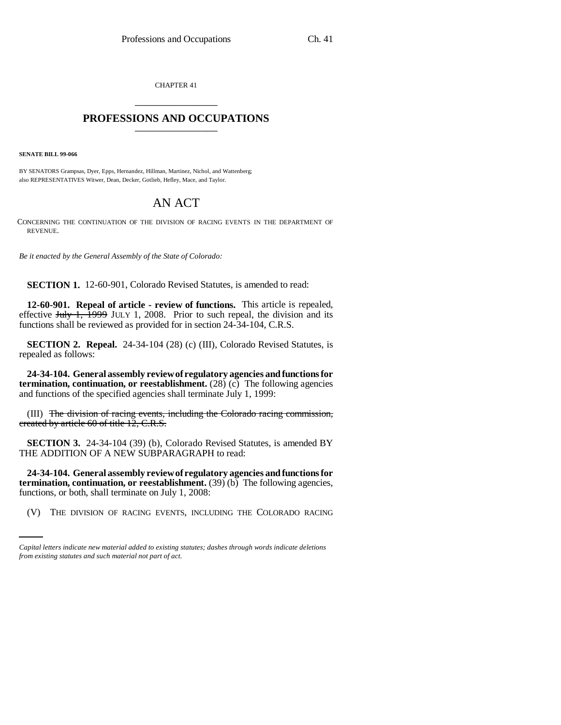CHAPTER 41 \_\_\_\_\_\_\_\_\_\_\_\_\_\_\_

## **PROFESSIONS AND OCCUPATIONS** \_\_\_\_\_\_\_\_\_\_\_\_\_\_\_

**SENATE BILL 99-066** 

BY SENATORS Grampsas, Dyer, Epps, Hernandez, Hillman, Martinez, Nichol, and Wattenberg; also REPRESENTATIVES Witwer, Dean, Decker, Gotlieb, Hefley, Mace, and Taylor.

## AN ACT

CONCERNING THE CONTINUATION OF THE DIVISION OF RACING EVENTS IN THE DEPARTMENT OF REVENUE.

*Be it enacted by the General Assembly of the State of Colorado:*

**SECTION 1.** 12-60-901, Colorado Revised Statutes, is amended to read:

**12-60-901. Repeal of article - review of functions.** This article is repealed, effective  $\frac{\text{H}_y}{\text{H}_y}$  July 1, 2008. Prior to such repeal, the division and its functions shall be reviewed as provided for in section 24-34-104, C.R.S.

**SECTION 2. Repeal.** 24-34-104 (28) (c) (III), Colorado Revised Statutes, is repealed as follows:

**24-34-104. General assembly review of regulatory agencies and functions for termination, continuation, or reestablishment.** (28) (c) The following agencies and functions of the specified agencies shall terminate July 1, 1999:

(III) The division of racing events, including the Colorado racing commission, created by article 60 of title 12, C.R.S.

**SECTION 3.** 24-34-104 (39) (b), Colorado Revised Statutes, is amended BY THE ADDITION OF A NEW SUBPARAGRAPH to read:

functions, or both, shall terminate on July 1, 2008: **24-34-104. General assembly review of regulatory agencies and functions for termination, continuation, or reestablishment.** (39) (b) The following agencies,

(V) THE DIVISION OF RACING EVENTS, INCLUDING THE COLORADO RACING

*Capital letters indicate new material added to existing statutes; dashes through words indicate deletions from existing statutes and such material not part of act.*